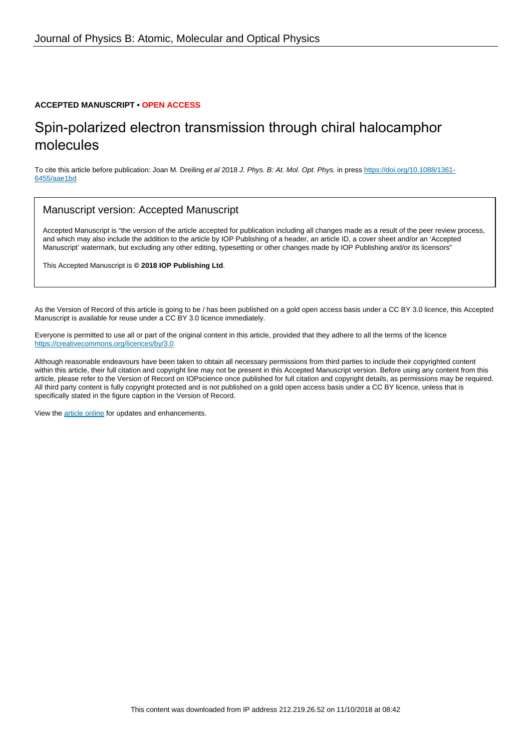#### **ACCEPTED MANUSCRIPT • OPEN ACCESS**

# Spin-polarized electron transmission through chiral halocamphor molecules

To cite this article before publication: Joan M. Dreiling et al 2018 J. Phys. B: At. Mol. Opt. Phys. in press [https://doi.org/10.1088/1361-](https://doi.org/10.1088/1361-6455/aae1bd) [6455/aae1bd](https://doi.org/10.1088/1361-6455/aae1bd)

#### Manuscript version: Accepted Manuscript

Accepted Manuscript is "the version of the article accepted for publication including all changes made as a result of the peer review process, and which may also include the addition to the article by IOP Publishing of a header, an article ID, a cover sheet and/or an 'Accepted Manuscript' watermark, but excluding any other editing, typesetting or other changes made by IOP Publishing and/or its licensors"

This Accepted Manuscript is **© 2018 IOP Publishing Ltd**.

As the Version of Record of this article is going to be / has been published on a gold open access basis under a CC BY 3.0 licence, this Accepted Manuscript is available for reuse under a CC BY 3.0 licence immediately.

Everyone is permitted to use all or part of the original content in this article, provided that they adhere to all the terms of the licence <https://creativecommons.org/licences/by/3.0>

Although reasonable endeavours have been taken to obtain all necessary permissions from third parties to include their copyrighted content within this article, their full citation and copyright line may not be present in this Accepted Manuscript version. Before using any content from this article, please refer to the Version of Record on IOPscience once published for full citation and copyright details, as permissions may be required. All third party content is fully copyright protected and is not published on a gold open access basis under a CC BY licence, unless that is specifically stated in the figure caption in the Version of Record.

View the [article online](https://doi.org/10.1088/1361-6455/aae1bd) for updates and enhancements.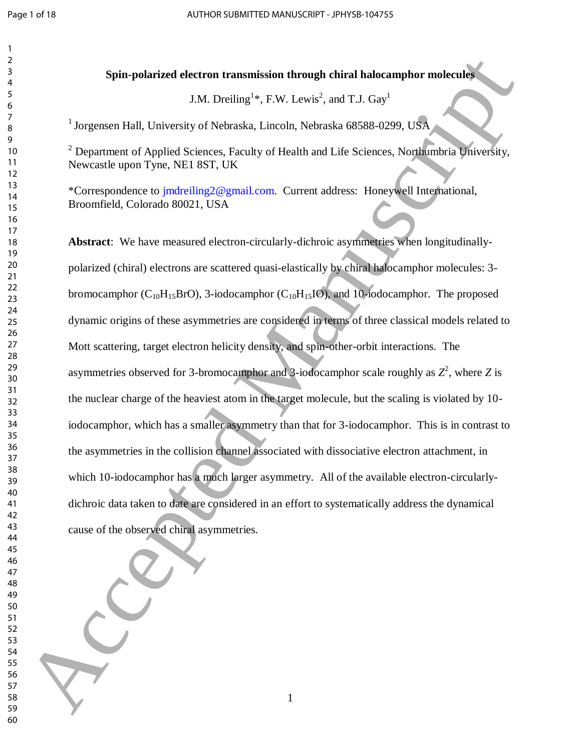Ĭ

# **Spin-polarized electron transmission through chiral halocamphor molecules**

J.M. Dreiling<sup>1</sup>\*, F.W. Lewis<sup>2</sup>, and T.J. Gay<sup>1</sup>

<sup>1</sup> Jorgensen Hall, University of Nebraska, Lincoln, Nebraska 68588-0299, USA

 Department of Applied Sciences, Faculty of Health and Life Sciences, Northumbria University, Newcastle upon Tyne, NE1 8ST, UK

\*Correspondence to jmdreiling2@gmail.com. Current address: Honeywell International, Broomfield, Colorado 80021, USA

**Abstract**: We have measured electron-circularly-dichroic asymmetries when longitudinallypolarized (chiral) electrons are scattered quasi-elastically by chiral halocamphor molecules: 3 bromocamphor  $(C_{10}H_{15}BrO)$ , 3-iodocamphor  $(C_{10}H_{15}IO)$ , and 10-iodocamphor. The proposed dynamic origins of these asymmetries are considered in terms of three classical models related to Mott scattering, target electron helicity density, and spin-other-orbit interactions. The asymmetries observed for 3-bromocamphor and 3-iodocamphor scale roughly as  $Z^2$ , where Z is the nuclear charge of the heaviest atom in the target molecule, but the scaling is violated by 10 iodocamphor, which has a smaller asymmetry than that for 3-iodocamphor. This is in contrast to the asymmetries in the collision channel associated with dissociative electron attachment, in which 10-iodocamphor has a much larger asymmetry. All of the available electron-circularlydichroic data taken to date are considered in an effort to systematically address the dynamical cause of the observed chiral asymmetries. **Spin-polarized electron transmission through chiral halocamphor molecules<br>
50 Accepted Manuscript (EW, Levels', and T.J. Gay<br>
10 Accepted Manuscript (Sectorals, Lincoln, Nebruska 68584-0299, USA<br>
10 Presents agent Typica**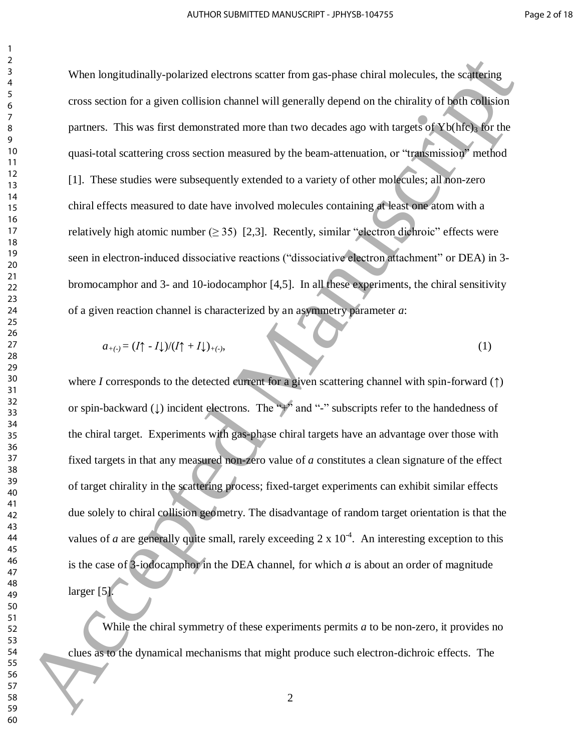When longitudinally-polarized electrons scatter from gas-phase chiral molecules, the scattering cross section for a given collision channel will generally depend on the chirality of both collision partners. This was first demonstrated more than two decades ago with targets of  $Yb(hfc)$ <sub>3</sub> for the quasi-total scattering cross section measured by the beam-attenuation, or "transmission" method [1]. These studies were subsequently extended to a variety of other molecules; all non-zero chiral effects measured to date have involved molecules containing at least one atom with a relatively high atomic number ( $\geq$  35) [2,3]. Recently, similar "electron dichroic" effects were seen in electron-induced dissociative reactions ("dissociative electron attachment" or DEA) in 3 bromocamphor and 3- and 10-iodocamphor [4,5]. In all these experiments, the chiral sensitivity of a given reaction channel is characterized by an asymmetry parameter *a*: When kneg indiringly probibited electrons scatter from gas-phase chiral nobecales, the scalinging<br>
expose section for a given collision channel will generally depend on the chirality of both collision<br>
partners. This was

$$
a_{+(-)} = (I \uparrow - I \downarrow) / (I \uparrow + I \downarrow)_{+(-)}, \tag{1}
$$

where *I* corresponds to the detected current for a given scattering channel with spin-forward (*↑*) or spin-backward (*↓*) incident electrons. The "+" and "-" subscripts refer to the handedness of the chiral target. Experiments with gas-phase chiral targets have an advantage over those with fixed targets in that any measured non-zero value of *a* constitutes a clean signature of the effect of target chirality in the scattering process; fixed-target experiments can exhibit similar effects due solely to chiral collision geometry. The disadvantage of random target orientation is that the values of *a* are generally quite small, rarely exceeding  $2 \times 10^{-4}$ . An interesting exception to this is the case of 3-iodocamphor in the DEA channel, for which *a* is about an order of magnitude larger [5].

While the chiral symmetry of these experiments permits *a* to be non-zero, it provides no clues as to the dynamical mechanisms that might produce such electron-dichroic effects. The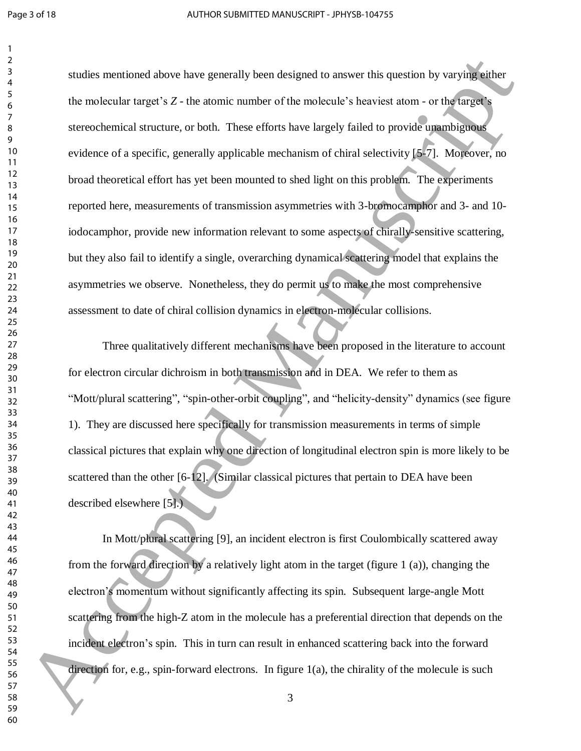studies mentioned above have generally been designed to answer this question by varying either the molecular target's *Z* - the atomic number of the molecule's heaviest atom - or the target's stereochemical structure, or both. These efforts have largely failed to provide unambiguous evidence of a specific, generally applicable mechanism of chiral selectivity [5-7]. Moreover, no broad theoretical effort has yet been mounted to shed light on this problem. The experiments reported here, measurements of transmission asymmetries with 3-bromocamphor and 3- and 10 iodocamphor, provide new information relevant to some aspects of chirally-sensitive scattering, but they also fail to identify a single, overarching dynamical scattering model that explains the asymmetries we observe. Nonetheless, they do permit us to make the most comprehensive assessment to date of chiral collision dynamics in electron-molecular collisions. calatios mentioned above have generally been designed to answer this question by varying attent the molecular target's Z- the atomic number of the molecule's horvist atomic or the function of the molecular targetic  $\frac{1}{$ 

 Three qualitatively different mechanisms have been proposed in the literature to account for electron circular dichroism in both transmission and in DEA. We refer to them as "Mott/plural scattering", "spin-other-orbit coupling", and "helicity-density" dynamics (see figure 1). They are discussed here specifically for transmission measurements in terms of simple classical pictures that explain why one direction of longitudinal electron spin is more likely to be scattered than the other [6-12]. (Similar classical pictures that pertain to DEA have been described elsewhere [5].)

 In Mott/plural scattering [9], an incident electron is first Coulombically scattered away from the forward direction by a relatively light atom in the target (figure 1 (a)), changing the electron's momentum without significantly affecting its spin. Subsequent large-angle Mott scattering from the high-Z atom in the molecule has a preferential direction that depends on the incident electron's spin. This in turn can result in enhanced scattering back into the forward direction for, e.g., spin-forward electrons. In figure  $1(a)$ , the chirality of the molecule is such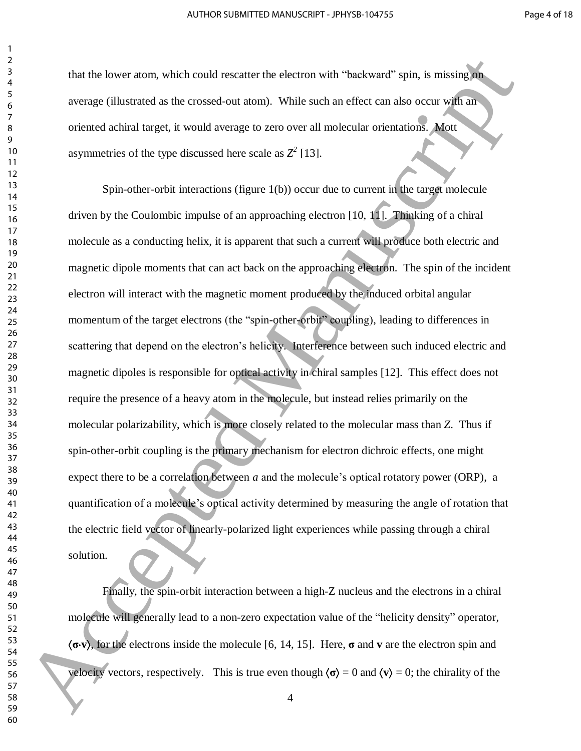that the lower atom, which could rescatter the electron with "backward" spin, is missing on average (illustrated as the crossed-out atom). While such an effect can also occur with an oriented achiral target, it would average to zero over all molecular orientations. Mott asymmetries of the type discussed here scale as  $Z^2$  [13].

 Spin-other-orbit interactions (figure 1(b)) occur due to current in the target molecule driven by the Coulombic impulse of an approaching electron [10, 11]. Thinking of a chiral molecule as a conducting helix, it is apparent that such a current will produce both electric and magnetic dipole moments that can act back on the approaching electron. The spin of the incident electron will interact with the magnetic moment produced by the induced orbital angular momentum of the target electrons (the "spin-other-orbit" coupling), leading to differences in scattering that depend on the electron's helicity. Interference between such induced electric and magnetic dipoles is responsible for optical activity in chiral samples [12]. This effect does not require the presence of a heavy atom in the molecule, but instead relies primarily on the molecular polarizability, which is more closely related to the molecular mass than *Z*. Thus if spin-other-orbit coupling is the primary mechanism for electron dichroic effects, one might expect there to be a correlation between *a* and the molecule's optical rotatory power (ORP), a quantification of a molecule's optical activity determined by measuring the angle of rotation that the electric field vector of linearly-polarized light experiences while passing through a chiral solution. Final is lower atom, which could researce the electron with "hackward" spin, is ensisting in<br>
source (illustrated as the crossed-out atom). While such an effect can also occur with an<br>
source (illustrated as the crossed-o

 Finally, the spin-orbit interaction between a high-Z nucleus and the electrons in a chiral molecule will generally lead to a non-zero expectation value of the "helicity density" operator, **σv**, for the electrons inside the molecule [6, 14, 15]. Here, **σ** and **v** are the electron spin and velocity vectors, respectively. This is true even though  $\langle \sigma \rangle = 0$  and  $\langle v \rangle = 0$ ; the chirality of the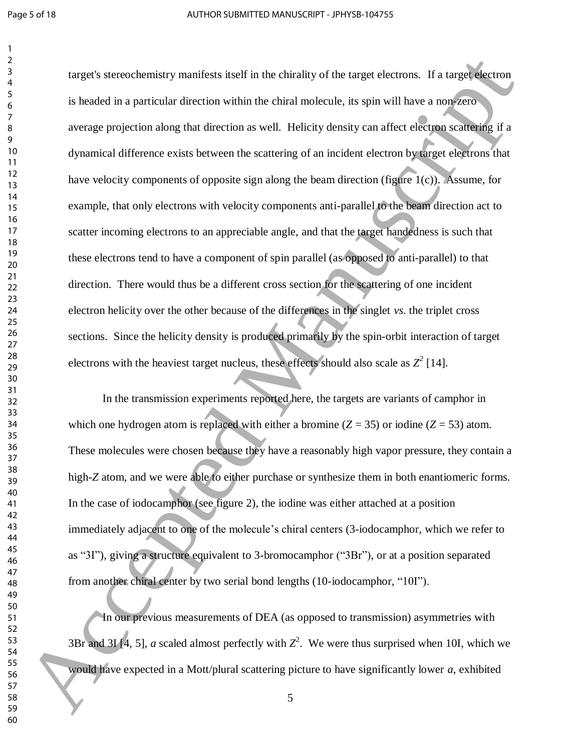target's stereochemistry manifests itself in the chirality of the target electrons. If a target electron is headed in a particular direction within the chiral molecule, its spin will have a non-zero average projection along that direction as well. Helicity density can affect electron scattering if a dynamical difference exists between the scattering of an incident electron by target electrons that have velocity components of opposite sign along the beam direction (figure 1(c)). Assume, for example, that only electrons with velocity components anti-parallel to the beam direction act to 

scatter incoming electrons to an appreciable angle, and that the target handedness is such that these electrons tend to have a component of spin parallel (as opposed to anti-parallel) to that direction. There would thus be a different cross section for the scattering of one incident electron helicity over the other because of the differences in the singlet *vs.* the triplet cross sections. Since the helicity density is produced primarily by the spin-orbit interaction of target electrons with the heaviest target nucleus, these effects should also scale as  $Z^2$  [14]. In the transmission experiments reported here, the targets are variants of camphor in which one hydrogen atom is replaced with either a bromine  $(Z = 35)$  or iodine  $(Z = 53)$  atom. Largets stereochemistry manifests itself in the chirality of the target electrons. If a target electron<br>is bracked in a particular direction as well. Helicity density can affect be small have a non-strong as<br>sweepe projec

These molecules were chosen because they have a reasonably high vapor pressure, they contain a high-*Z* atom, and we were able to either purchase or synthesize them in both enantiomeric forms. In the case of iodocamphor (see figure 2), the iodine was either attached at a position immediately adjacent to one of the molecule's chiral centers (3-iodocamphor, which we refer to as "3I"), giving a structure equivalent to 3-bromocamphor ("3Br"), or at a position separated from another chiral center by two serial bond lengths (10-iodocamphor, "10I").

In our previous measurements of DEA (as opposed to transmission) asymmetries with 3Br and 3I [4, 5], *a* scaled almost perfectly with  $Z^2$ . We were thus surprised when 10I, which we would have expected in a Mott/plural scattering picture to have significantly lower *a*, exhibited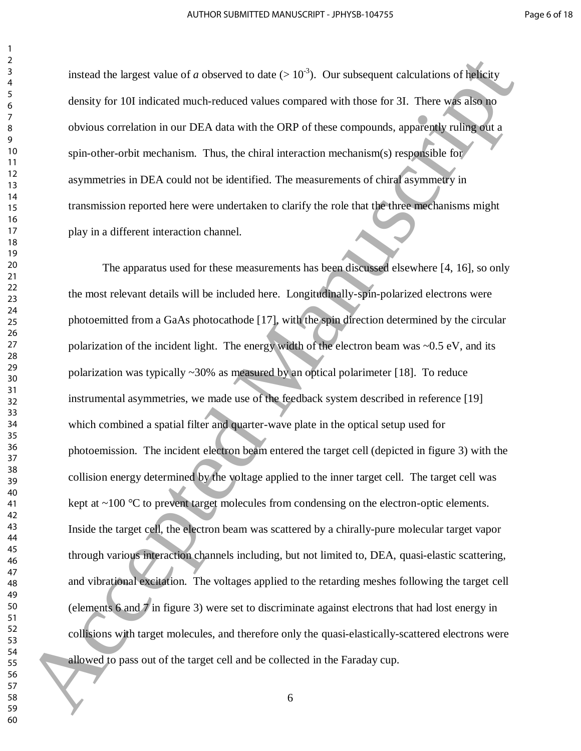instead the largest value of *a* observed to date ( $> 10^{-3}$ ). Our subsequent calculations of helicity density for 10I indicated much-reduced values compared with those for 3I. There was also no obvious correlation in our DEA data with the ORP of these compounds, apparently ruling out a spin-other-orbit mechanism. Thus, the chiral interaction mechanism(s) responsible for asymmetries in DEA could not be identified. The measurements of chiral asymmetry in transmission reported here were undertaken to clarify the role that the three mechanisms might play in a different interaction channel.

 The apparatus used for these measurements has been discussed elsewhere [4, 16], so only the most relevant details will be included here. Longitudinally-spin-polarized electrons were photoemitted from a GaAs photocathode [17], with the spin direction determined by the circular polarization of the incident light. The energy width of the electron beam was  $\sim 0.5 \text{ eV}$ , and its polarization was typically ~30% as measured by an optical polarimeter [18]. To reduce instrumental asymmetries, we made use of the feedback system described in reference [19] which combined a spatial filter and quarter-wave plate in the optical setup used for photoemission. The incident electron beam entered the target cell (depicted in figure 3) with the collision energy determined by the voltage applied to the inner target cell. The target cell was kept at ~100 °C to prevent target molecules from condensing on the electron-optic elements. Inside the target cell, the electron beam was scattered by a chirally-pure molecular target vapor through various interaction channels including, but not limited to, DEA, quasi-elastic scattering, and vibrational excitation. The voltages applied to the retarding meshes following the target cell (elements 6 and 7 in figure 3) were set to discriminate against electrons that had lost energy in collisions with target molecules, and therefore only the quasi-elastically-scattered electrons were allowed to pass out of the target cell and be collected in the Faraday cup. issues the largest value of a observed to due (> 10<sup>-2</sup>). Our subsequent calculations of highery<br>density for 101 indicated much-reduced values compared with those for 31. There was allowed<br>obvious correlation in our DEA d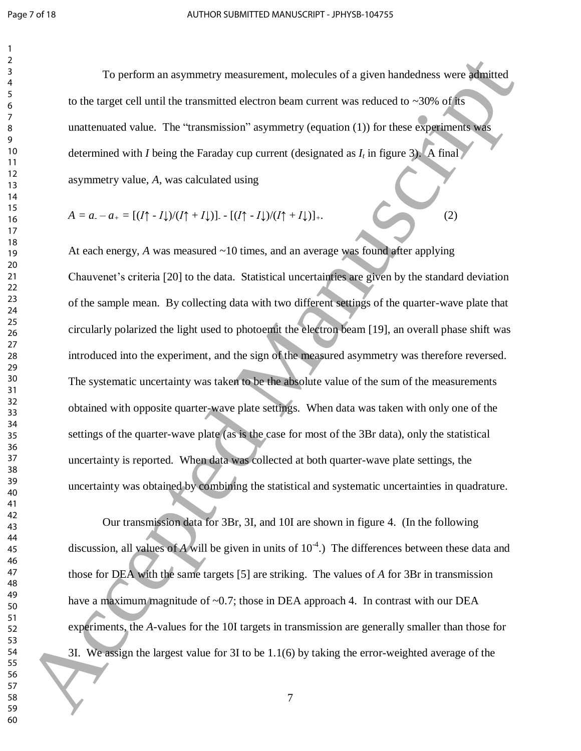To perform an asymmetry measurement, molecules of a given handedness were admitted to the target cell until the transmitted electron beam current was reduced to  $\sim$ 30% of its unattenuated value. The "transmission" asymmetry (equation (1)) for these experiments was determined with *I* being the Faraday cup current (designated as  $I_t$  in figure 3). A final asymmetry value, *A,* was calculated using

$$
A = a_2 - a_1 = \left[ (I \uparrow - I \downarrow) / (I \uparrow + I \downarrow) \right] - \left[ (I \uparrow - I \downarrow) / (I \uparrow + I \downarrow) \right]_+.
$$
 (2)

At each energy, *A* was measured ~10 times, and an average was found after applying Chauvenet's criteria [20] to the data. Statistical uncertainties are given by the standard deviation of the sample mean. By collecting data with two different settings of the quarter-wave plate that circularly polarized the light used to photoemit the electron beam [19], an overall phase shift was introduced into the experiment, and the sign of the measured asymmetry was therefore reversed. The systematic uncertainty was taken to be the absolute value of the sum of the measurements obtained with opposite quarter-wave plate settings. When data was taken with only one of the settings of the quarter-wave plate (as is the case for most of the 3Br data), only the statistical uncertainty is reported. When data was collected at both quarter-wave plate settings, the uncertainty was obtained by combining the statistical and systematic uncertainties in quadrature. To perform an asymmetry measurement, and<br>extrapally of the six and the same of the same of the same of the same of<br>the same of the same of the same of the same of the same of the same of<br>the same of the same of the same o

 Our transmission data for 3Br, 3I, and 10I are shown in figure 4. (In the following discussion, all values of *A* will be given in units of  $10<sup>4</sup>$ .) The differences between these data and those for DEA with the same targets [5] are striking. The values of *A* for 3Br in transmission have a maximum magnitude of ~0.7; those in DEA approach 4. In contrast with our DEA experiments, the *A*-values for the 10I targets in transmission are generally smaller than those for 3I. We assign the largest value for 3I to be 1.1(6) by taking the error-weighted average of the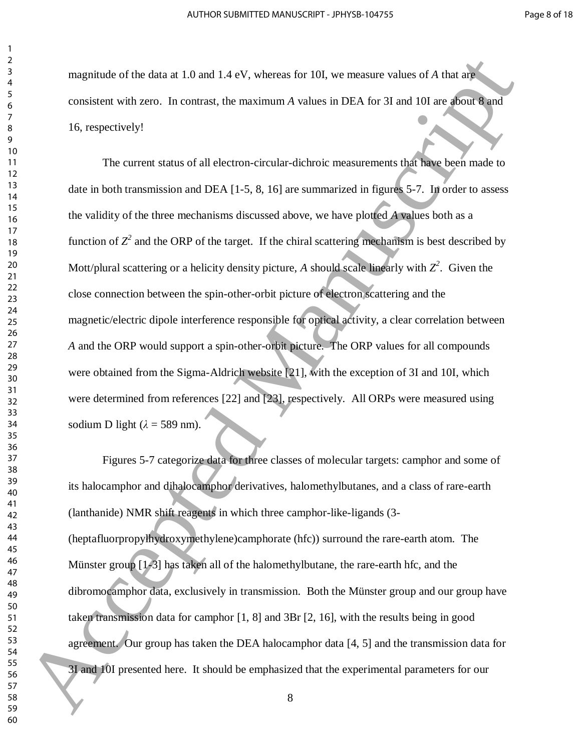magnitude of the data at 1.0 and 1.4 eV, whereas for 10I, we measure values of *A* that are consistent with zero. In contrast, the maximum *A* values in DEA for 3I and 10I are about 8 and 16, respectively!

 The current status of all electron-circular-dichroic measurements that have been made to date in both transmission and DEA [1-5, 8, 16] are summarized in figures 5-7. In order to assess the validity of the three mechanisms discussed above, we have plotted *A* values both as a function of  $Z^2$  and the ORP of the target. If the chiral scattering mechanism is best described by Mott/plural scattering or a helicity density picture, A should scale linearly with  $Z^2$ . Given the close connection between the spin-other-orbit picture of electron scattering and the magnetic/electric dipole interference responsible for optical activity, a clear correlation between *A* and the ORP would support a spin-other-orbit picture. The ORP values for all compounds were obtained from the Sigma-Aldrich website [21], with the exception of 3I and 10I, which were determined from references [22] and [23], respectively. All ORPs were measured using sodium D light  $(\lambda = 589$  nm). registrate of the data at 1.0 and 1.4 eV, whereas for 101, we measure values of A that are<br>
solution to the material and the material and the SE and 101 are about the set of the set of the set of the set of the set of the

 Figures 5-7 categorize data for three classes of molecular targets: camphor and some of its halocamphor and dihalocamphor derivatives, halomethylbutanes, and a class of rare-earth (lanthanide) NMR shift reagents in which three camphor-like-ligands (3- (heptafluorpropylhydroxymethylene)camphorate (hfc)) surround the rare-earth atom. The Münster group [1-3] has taken all of the halomethylbutane, the rare-earth hfc, and the dibromocamphor data, exclusively in transmission. Both the Münster group and our group have taken transmission data for camphor [1, 8] and 3Br [2, 16], with the results being in good agreement. Our group has taken the DEA halocamphor data [4, 5] and the transmission data for 3I and 10I presented here. It should be emphasized that the experimental parameters for our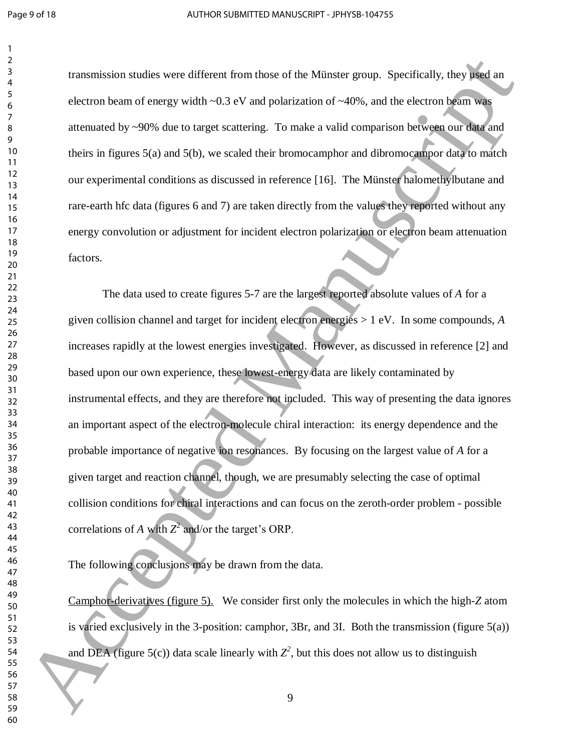transmission studies were different from those of the Münster group. Specifically, they used an electron beam of energy width  $\sim 0.3$  eV and polarization of  $\sim 40\%$ , and the electron beam was attenuated by ~90% due to target scattering. To make a valid comparison between our data and theirs in figures 5(a) and 5(b), we scaled their bromocamphor and dibromocampor data to match our experimental conditions as discussed in reference [16]. The Münster halomethylbutane and rare-earth hfc data (figures 6 and 7) are taken directly from the values they reported without any energy convolution or adjustment for incident electron polarization or electron beam attenuation factors.

 The data used to create figures 5-7 are the largest reported absolute values of *A* for a given collision channel and target for incident electron energies > 1 eV. In some compounds, *A* increases rapidly at the lowest energies investigated. However, as discussed in reference [2] and based upon our own experience, these lowest-energy data are likely contaminated by instrumental effects, and they are therefore not included. This way of presenting the data ignores an important aspect of the electron-molecule chiral interaction: its energy dependence and the probable importance of negative ion resonances. By focusing on the largest value of *A* for a given target and reaction channel, though, we are presumably selecting the case of optimal collision conditions for chiral interactions and can focus on the zeroth-order problem - possible correlations of *A* with  $Z^2$  and/or the target's ORP. Framewission stadies were different from those of the Mitrosta group. Specifically, they wed an<br>
shortcombean of energy width -0.3 eV and polarization of -40%, and the electron beam was<br>
articulated by -90% due to target

The following conclusions may be drawn from the data.

Camphor-derivatives (figure 5). We consider first only the molecules in which the high-*Z* atom is varied exclusively in the 3-position: camphor, 3Br, and 3I. Both the transmission (figure 5(a)) and DEA (figure 5(c)) data scale linearly with  $Z^2$ , but this does not allow us to distinguish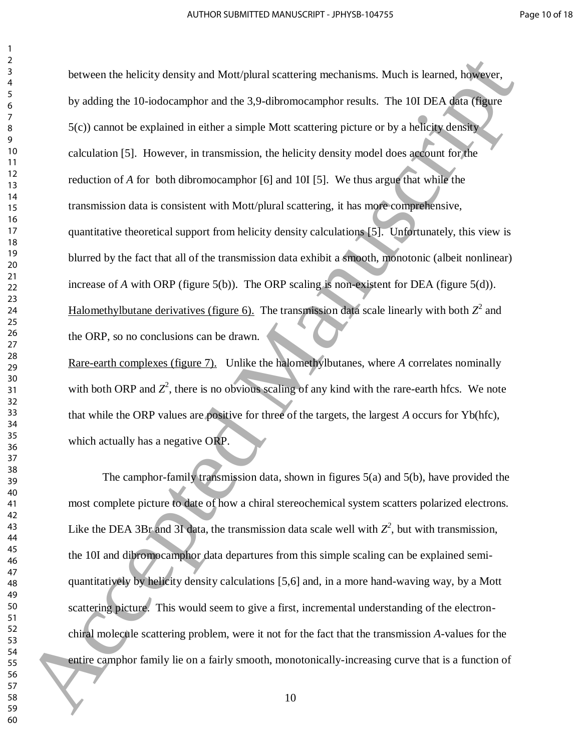between the helicity density and Mott/plural scattering mechanisms. Much is learned, however, by adding the 10-iodocamphor and the 3,9-dibromocamphor results. The 10I DEA data (figure 5(c)) cannot be explained in either a simple Mott scattering picture or by a helicity density calculation [5]. However, in transmission, the helicity density model does account for the reduction of *A* for both dibromocamphor [6] and 10I [5]. We thus argue that while the transmission data is consistent with Mott/plural scattering, it has more comprehensive, quantitative theoretical support from helicity density calculations [5]. Unfortunately, this view is blurred by the fact that all of the transmission data exhibit a smooth, monotonic (albeit nonlinear) increase of *A* with ORP (figure 5(b)). The ORP scaling is non-existent for DEA (figure 5(d)). Halomethylbutane derivatives (figure 6). The transmission data scale linearly with both  $Z^2$  and the ORP, so no conclusions can be drawn. between the helicity density and Mantyland scattering mechanisms. Much is known, helicons,<br>
by adding the 10-iodecumphor and the 3.9-dilvoonceamphor results. The 101 DEA dila trigate<br>
for ) standard the condition and the

Rare-earth complexes (figure 7). Unlike the halomethylbutanes, where *A* correlates nominally with both ORP and  $Z^2$ , there is no obvious scaling of any kind with the rare-earth hfcs. We note that while the ORP values are positive for three of the targets, the largest *A* occurs for Yb(hfc), which actually has a negative ORP.

 The camphor-family transmission data, shown in figures 5(a) and 5(b), have provided the most complete picture to date of how a chiral stereochemical system scatters polarized electrons. Like the DEA 3Br and 3I data, the transmission data scale well with  $Z^2$ , but with transmission, the 10I and dibromocamphor data departures from this simple scaling can be explained semiquantitatively by helicity density calculations [5,6] and, in a more hand-waving way, by a Mott scattering picture. This would seem to give a first, incremental understanding of the electronchiral molecule scattering problem, were it not for the fact that the transmission *A*-values for the entire camphor family lie on a fairly smooth, monotonically-increasing curve that is a function of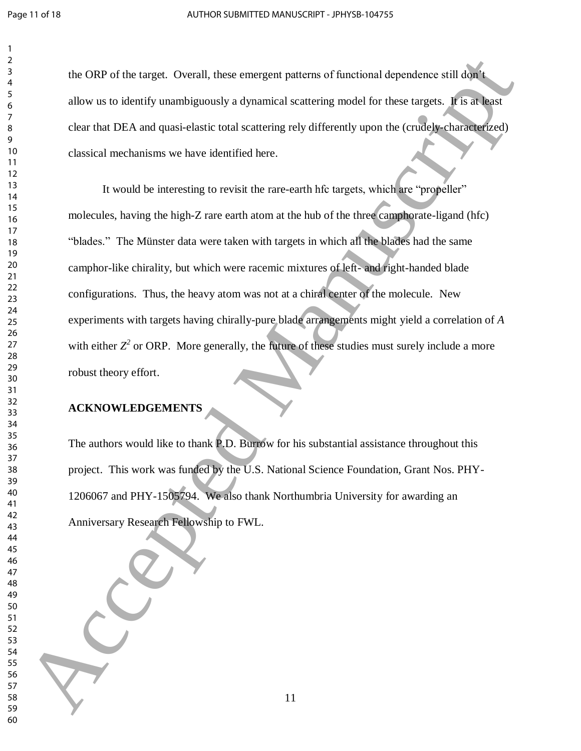the ORP of the target. Overall, these emergent patterns of functional dependence still don't allow us to identify unambiguously a dynamical scattering model for these targets. It is at least clear that DEA and quasi-elastic total scattering rely differently upon the (crudely-characterized) classical mechanisms we have identified here.

 It would be interesting to revisit the rare-earth hfc targets, which are "propeller" molecules, having the high-Z rare earth atom at the hub of the three camphorate-ligand (hfc) "blades." The Münster data were taken with targets in which all the blades had the same camphor-like chirality, but which were racemic mixtures of left- and right-handed blade configurations. Thus, the heavy atom was not at a chiral center of the molecule. New experiments with targets having chirally-pure blade arrangements might yield a correlation of *A* with either  $Z^2$  or ORP. More generally, the future of these studies must surely include a more robust theory effort. 14<br>
16 ORP of the target. Overall, these envergent patterns of functional dependence still disperse allow us to identify unambiguously a dynamical scattering redshift from these targets. It's at heat of the state of the s

## **ACKNOWLEDGEMENTS**

The authors would like to thank P.D. Burrow for his substantial assistance throughout this project. This work was funded by the U.S. National Science Foundation, Grant Nos. PHY-1206067 and PHY-1505794. We also thank Northumbria University for awarding an Anniversary Research Fellowship to FWL.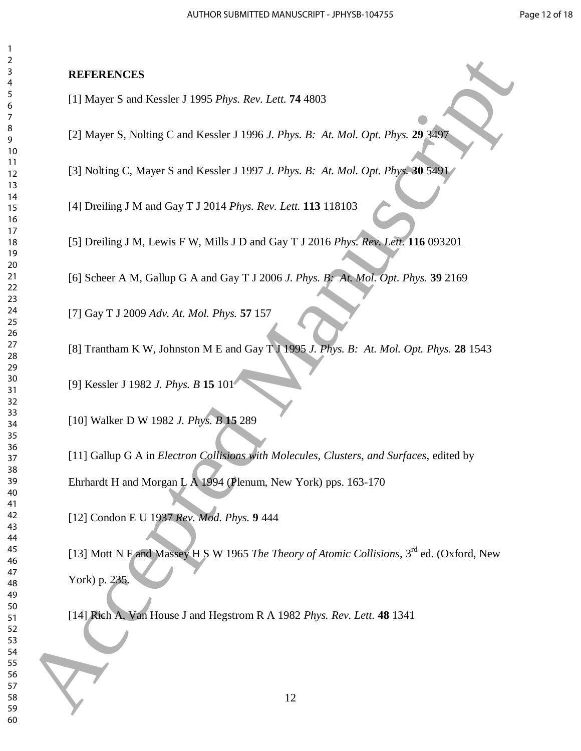### **REFERENCES**

- [1] Mayer S and Kessler J 1995 *Phys. Rev. Lett.* **74** 4803
- [2] Mayer S, Nolting C and Kessler J 1996 *J. Phys. B: At. Mol. Opt. Phys.* **29** 3497
- [3] Nolting C, Mayer S and Kessler J 1997 *J. Phys. B: At. Mol. Opt. Phys.* **30** 5491
- [4] Dreiling J M and Gay T J 2014 *Phys. Rev. Lett.* **113** 118103
- [5] Dreiling J M, Lewis F W, Mills J D and Gay T J 2016 *Phys. Rev. Lett.* **116** 093201
- [6] Scheer A M, Gallup G A and Gay T J 2006 *J. Phys. B: At. Mol. Opt. Phys.* **39** 2169
- [7] Gay T J 2009 *Adv. At. Mol. Phys.* **57** 157
- [8] Trantham K W, Johnston M E and Gay T J 1995 *J. Phys. B: At. Mol. Opt. Phys.* **28** 1543

[9] Kessler J 1982 *J. Phys. B* **15** 101

[10] Walker D W 1982 *J. Phys. B* **15** 289

[11] Gallup G A in *Electron Collisions with Molecules, Clusters, and Surfaces*, edited by Ehrhardt H and Morgan L A 1994 (Plenum, New York) pps. 163-170

[12] Condon E U 1937 *Rev. Mod. Phys.* **9** 444

[13] Mott N F and Massey H S W 1965 *The Theory of Atomic Collisions*, 3rd ed. (Oxford, New York) p. 235. **EXERCISE:**<br>
11 Mayer S and Kessler J 1995 Phys. Rev. Lem. 74 4803<br>
12 Mayer S. Nobling C and Kessler J 1995 Phys. R. A. Mol. Opt. Phys. 29 3 Rev.<br>
19<br>
19 13 Nobling C. Mayer S and Kessler J 1997 J. Phys. B. A. Mol. Opt.

[14] Rich A, Van House J and Hegstrom R A 1982 *Phys. Rev. Lett.* **48** 1341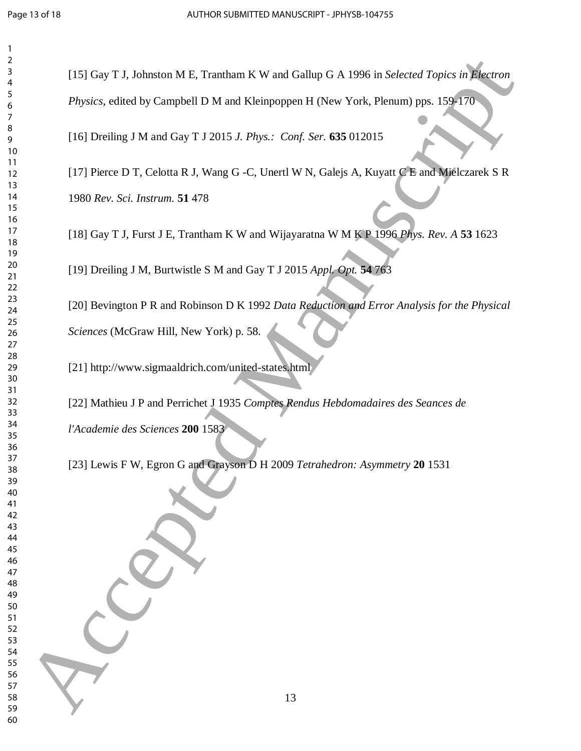| 2                            |
|------------------------------|
| 3                            |
| 4                            |
| 5                            |
| 6                            |
|                              |
| 8                            |
|                              |
| 9                            |
| 10                           |
| 1<br>$\mathbf{1}$            |
| 1<br>$\overline{c}$          |
| 13                           |
| 14                           |
| 15                           |
| 16                           |
| 1                            |
| 18                           |
| 19                           |
|                              |
| 20                           |
| $\overline{21}$              |
| $\overline{2}$<br>,          |
| $\overline{2}$<br>3          |
| $\frac{24}{5}$               |
| 25                           |
| 26                           |
| 27                           |
| 28                           |
| 29                           |
|                              |
| 30                           |
| $\overline{\textbf{3}}$      |
| $\overline{\mathbf{S}}$<br>, |
| $\overline{\mathbf{3}}$<br>ξ |
| 34                           |
| 35                           |
| 36                           |
| 37                           |
| 38                           |
| J                            |
| $\frac{3}{2}$                |
| 40                           |
| 41                           |
| 42                           |
| 43                           |
| 44                           |
| 45                           |
| 46                           |
| 47                           |
| 48                           |
| 49                           |
|                              |
| 50                           |
| 51                           |
| 52                           |
| 53                           |
| 54                           |
| 55                           |
| 56                           |
| 57                           |
| 58                           |
| 59                           |
|                              |

[15] Gay T J, Johnston M E, Trantham K W and Gallup G A 1996 in *Selected Topics in Electron Physics*, edited by Campbell D M and Kleinpoppen H (New York, Plenum) pps. 159-170 16 Accepted Manuscript Computation We Referred Computer California Scheme Tapeies in November<br>
60 Accepted Manuscript D. M. and Kielapoppen H. Obey York: Remain (pps. 1594170)<br>
16 Accepted Manuscript D. M. and Kielapoppen

[16] Dreiling J M and Gay T J 2015 *J. Phys.: Conf. Ser.* **635** 012015

[17] Pierce D T, Celotta R J, Wang G -C, Unertl W N, Galejs A, Kuyatt C E and Mielczarek S R *Rev. Sci. Instrum.* **51** 478

[18] Gay T J, Furst J E, Trantham K W and Wijayaratna W M K P 1996 *Phys. Rev. A* **53** 1623

[19] Dreiling J M, Burtwistle S M and Gay T J 2015 *Appl. Opt.* **54** 763

[20] Bevington P R and Robinson D K 1992 *Data Reduction and Error Analysis for the Physical Sciences* (McGraw Hill, New York) p. 58.

[21] http://www.sigmaaldrich.com/united-states.html

[22] Mathieu J P and Perrichet J 1935 *Comptes Rendus Hebdomadaires des Seances de* 

*l'Academie des Sciences* **200** 1583

[23] Lewis F W, Egron G and Grayson D H 2009 *Tetrahedron: Asymmetry* **20** 1531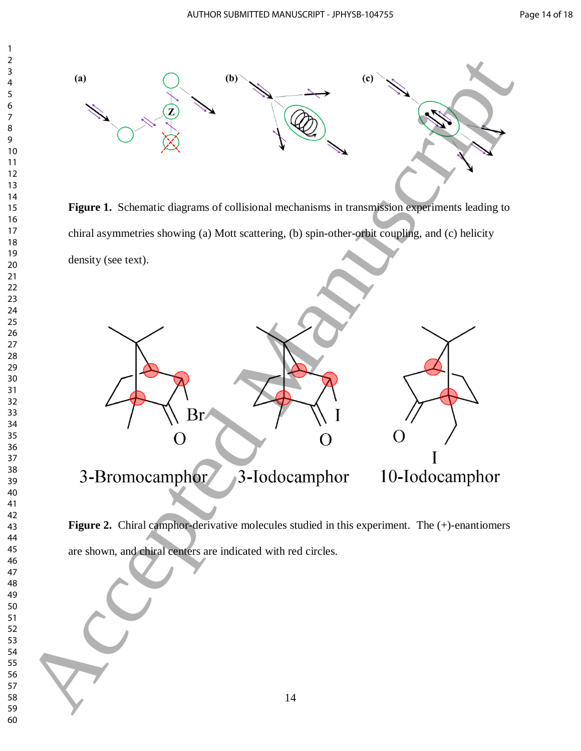

**Figure 1.** Schematic diagrams of collisional mechanisms in transmission experiments leading to chiral asymmetries showing (a) Mott scattering, (b) spin-other-orbit coupling, and (c) helicity



Figure 2. Chiral camphor-derivative molecules studied in this experiment. The (+)-enantiomers are shown, and chiral centers are indicated with red circles.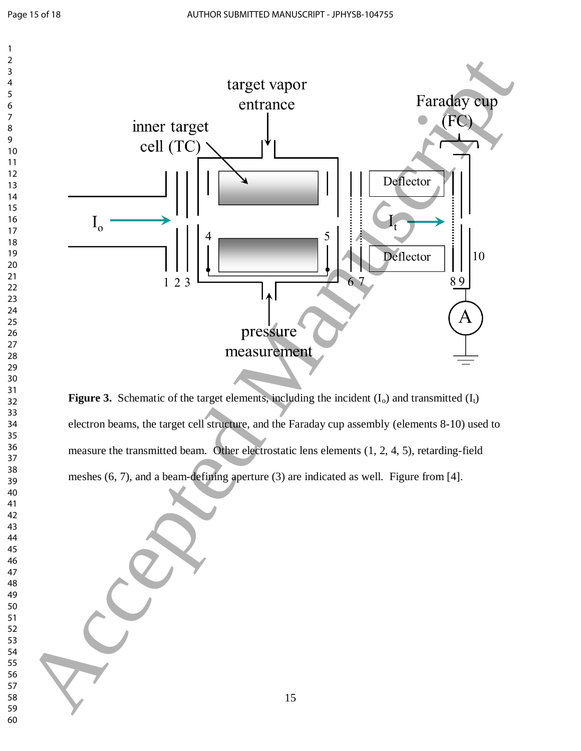

**Figure 3.** Schematic of the target elements, including the incident  $(I_0)$  and transmitted  $(I_t)$ electron beams, the target cell structure, and the Faraday cup assembly (elements 8-10) used to measure the transmitted beam. Other electrostatic lens elements (1, 2, 4, 5), retarding-field meshes (6, 7), and a beam-defining aperture (3) are indicated as well. Figure from [4].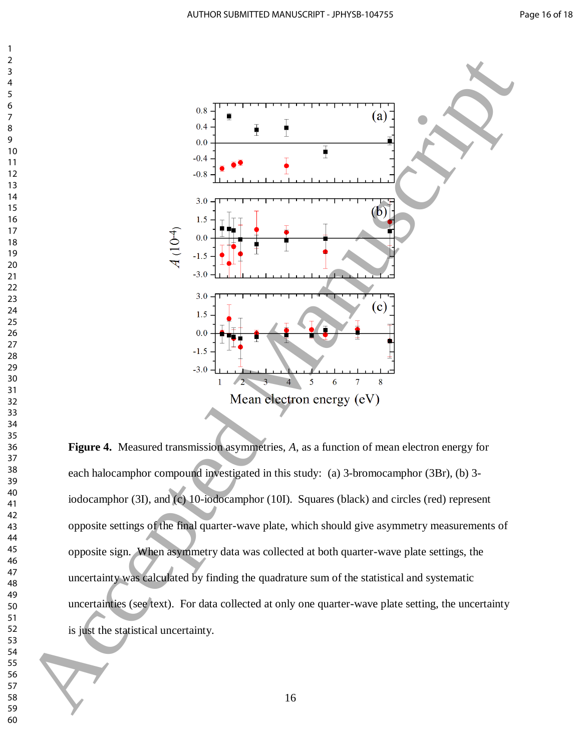

**Figure 4.** Measured transmission asymmetries, *A*, as a function of mean electron energy for each halocamphor compound investigated in this study: (a) 3-bromocamphor (3Br), (b) 3 iodocamphor (3I), and (c) 10-iodocamphor (10I). Squares (black) and circles (red) represent opposite settings of the final quarter-wave plate, which should give asymmetry measurements of opposite sign. When asymmetry data was collected at both quarter-wave plate settings, the uncertainty was calculated by finding the quadrature sum of the statistical and systematic uncertainties (see text). For data collected at only one quarter-wave plate setting, the uncertainty is just the statistical uncertainty.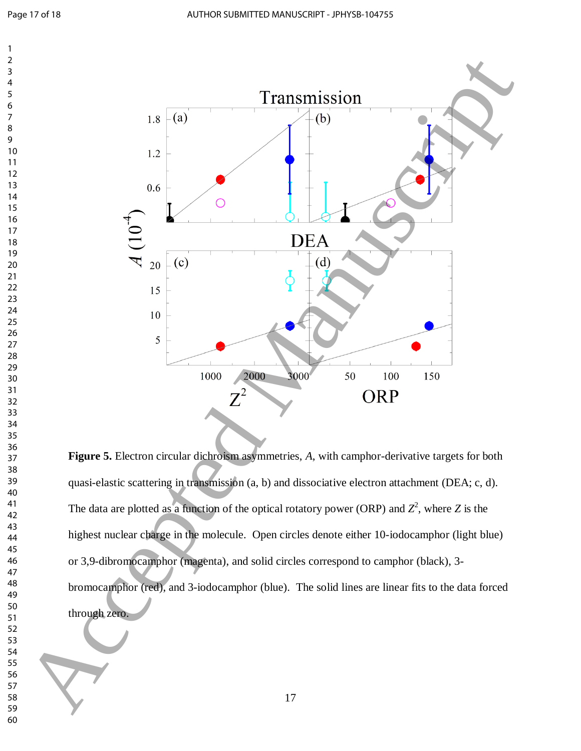

**Figure 5.** Electron circular dichroism asymmetries, *A*, with camphor-derivative targets for both quasi-elastic scattering in transmission (a, b) and dissociative electron attachment (DEA; c, d). The data are plotted as a function of the optical rotatory power (ORP) and  $Z^2$ , where Z is the highest nuclear charge in the molecule. Open circles denote either 10-iodocamphor (light blue) or 3,9-dibromocamphor (magenta), and solid circles correspond to camphor (black), 3 bromocamphor (red), and 3-iodocamphor (blue). The solid lines are linear fits to the data forced through zero.